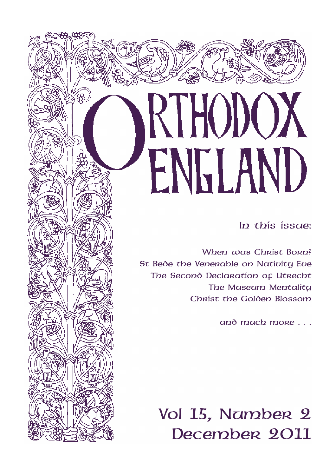In this issue:

When was Christ Born? St Bede the Venerable on Nativity Eve The Second Declaration of Utrecht The Maseam Mentality Christ the Golden Blossom

and much more . . .

Vol 15, Number 2 December 2011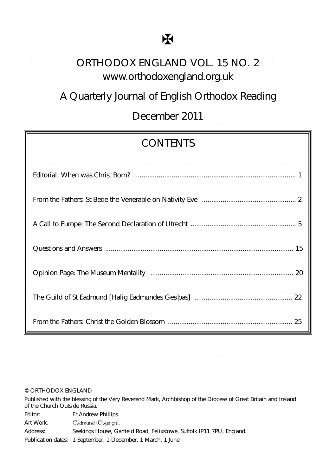# ORTHODOX ENGLAND VOL. 15 NO. 2 www.orthodoxengland.org.uk

# A Quarterly Journal of English Orthodox Reading

# December 2011

# **CONTENTS**

#### © ORTHODOX ENGLAND

Published with the blessing of the Very Reverend Mark, Archbishop of the Diocese of Great Britain and Ireland of the Church Outside Russia.

Fditor: Fr Andrew Phillips.

Cadmund (Oaysign). Art Work:

**Address:** Seekings House, Garfield Road, Felixstowe, Suffolk IP11 7PU, England.

Publication dates: 1 September, 1 December, 1 March, 1 June.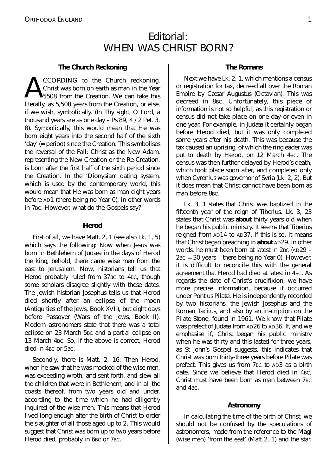# Edi torial: WHEN WAS CHRIST BORN?

#### **The Church Reckoning**

CCORDING to the Church reckoning,<br>Christ was born on earth as man in the Year<br>literally, as 5,508 years from the Creation, or else, CCORDING to the Church reckoning, Christ was born on earth as man in the Year 5508 from the Creation. We can take this if we wish, symbolically. (*In Thy sight, O Lord, a thousand* years are as one day - Ps 89, 4 / 2 Pet. 3, 8). Symbolically, this would mean that He was born eight years into the second half of the sixth 'day' (= period) since the Creation. This symbolises the reversal of the Fall: Christ as the New Adam. representing the New Creation or the Re-Creation, is born after the first half of the sixth period since the Creation. In the 'Dionysian' dating system, which is used by the contemporary world, this would mean that He was born as man eight years before AD1 (there being no Year O), in other words in 7Bc. However, what do the Gospels say?

#### **Hero d**

First of all, we have Matt. 2, 1 (see also Lk. 1, 5) which says the following: *Now when Jesus was born in Bethlehem of Judæa in the daysof Hero d the king, behold, there came wise men from th e* east to *Jerusalem*. Now, historians tell us that Herod probably ruled from 37BC to 4BC, though some scholars disagree slightly with these dates. The Jewish historian Josephus tells us that Herod died shortly after an eclipse of the moon (*Antiquities of the Jews, Book XVII*), but eight days before Passover (*Wars of the Jews*, Book II). Modern astronomers state that there was a total eclipse on 23 March 5Bc and a partial eclipse on 13 March 4Bc. So, if the above is correct, Herod died in 4<sub>BC</sub> or 5<sub>BC</sub>.

Secondly, there is Matt. 2, 16: *Then Herod*, when he saw that he was mocked of the wise men, *was exceeding wroth, and sent forth, and slew all the children that were in Bethlehem, and in all the coasts thereof, from two years old and under, according to the time which he had di l igently inquired of the wise men.* This means that Herod lived long enough after the birth of Christ to order the slaughter of all those aged up to 2. This would suggest that Christ was born up to two years before Herod died, probably in 6BC or 7BC.

#### **The Roman s**

Next we have Lk. 2, 1, which mentions a census or registration for tax, decreed all over the Roman Empire by Cæsar Augustus (Octavian). This was decreed in 8Bc. Unfortunately, this piece of information is not so helpful, as this registration or census did not take place on one day or even in one year. For example, in Judæa it certainly began before Herod died, but it was only completed some years after his death. This was because the tax caused an uprising, of which the ringleader was put to death by Herod, on 12 March 4BC. The census was then further delayed by Herod's death, which took place soon after, and completed only when Cyrenius was governor of Syria (Lk. 2, 2). But it does mean that Christ cannot have been born as man before 8BC.

Lk.  $3$ , 1 states that Christ was baptized in the fifteenth year of the reign of Tiberius. Lk. 3, 23 states that Christ was *about thirty years old* when he began his public ministry. It seems that Tiberius reigned from  $AD14$  to  $AD37$ . If this is so, it means that Christ began preaching in about AD 29. In other words, he must been born at latest in 2BC (AD 29 - $2BC = 30$  years – there being no Year 0). However, it is difficult to reconcile this with the general agreement that Herod had died at latest in 4BC. As regards the date of Christ's crucifixion, we have more precise information, because it occurred under Pontius Pilate. He is independently recorded by two historians, the Jewish Josephus and the Roman Tacitus, and also by an inscription on the Pilate Stone, found in 1961. We know that Pilate was prefect of Judæa from AD 26 to AD 36. If, and we emphasise if, Christ began his public ministry when he was thirty and this lasted for three years, as St John's Gospel suggests, this indicates that Christ was born thirty-three years before Pilate was prefect. This gives us from 7BC to AD3 as a birth date. Since we believe that Herod died in 4BC, Christ must have been born as man between 7BC and  $4<sub>BC</sub>$ 

#### **Astro nom y**

In calculating the time of the birth of Christ, we should not be confused by the speculations of astronomers, made from the reference to the Magi (wise men) 'from the east' (Matt  $2$ , 1) and the star.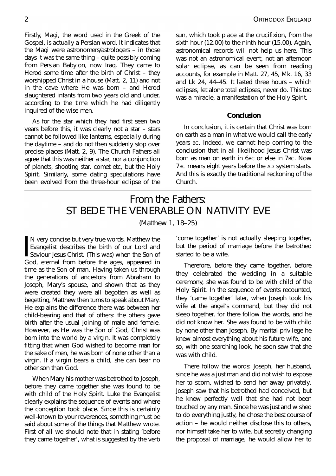Firstly, Magi, the word used in the Greek of the Gospel, is actually a Persian word. It indicates that the Magi were astronomers/astrologers - in those days it was the same thing - quite possibly coming from Persian Babylon, now Iraq. They came to Herod some time after the birth of Christ - they worshipped Christ in a house (Matt. 2, 11) and not in the cave where He was born  $-$  and Herod slaughtered infants *from two yearsold and under , according to the t ime which he had di l igentl y inq ui red of the wise me n*.

As for the star which they had first seen two years before this, it was clearly not a star - stars cannot be followed like lanterns, especially during the daytime – and do not then suddenly stop over precise places (Matt 2, 9). The Church Fathers all agree that this was neither a star, nor a conjunction of planets, shooting star, comet etc, but the Holy Spirit Similarly, some dating speculations have been evolved from the three-hour eclipse of the

sun, which took place at the crucifixion, from the sixth hour (12.00) to the ninth hour (15.00). Again, astronomical records will not help us here. This was not an astronomical event, not an afternoon solar eclipse, as can be seen from reading accounts, for example in Matt 27, 45, Mk, 16, 33 and Lk 24, 44-45. It lasted three hours - which eclipses, let alone total eclipses, never do. This too was a miracle, a manifestation of the Holy Spirit.

#### **Conclusion**

In conclusion, it is certain that Christ was born on earth as a man in what we would call the early years Bc. Indeed, we cannot help coming to the conclusion that in all likelihood Jesus Christ was born as man on earth in 6BC or else in 7BC. Now 7BC means eight years before the AD system starts. And this is exactly the traditional reckoning of the Church.

# From the Fathers: ST BEDE THE VENERABLE ON NATIVITY FVE

#### (Matthew 1, 18–25)

I<sub>C</sub> N very concise but very true words, Matthew the Evangelist describes the birth of our Lord and Saviour Jesus Christ (This was) when the Son of God, eternal from before the ages, appeared in time as the Son of man. Having taken us through the generations of ancestors from Abraham to Joseph, Mary's spouse, and shown that as they were created they were all begotten as well as begetting, Matthew then turns to speak about Mary. He explains the difference there was between her child-bearing and that of others: the others gave birth after the usual joining of male and female. However, as He was the Son of God, Christ was born into the world by a virgin. It was completely fitting that when God wished to become man for the sake of men, he was born of none other than a virgin. If a virgin bears a child, she can bear no other son than God.

*When Mary his mother was betrothed to Joseph, before they came together she was found to be with child of the Holy Spirit*. Luke the Evangelist clearly explains the sequence of events and where the conception took place. Since this is certainly well-known to your reverences, something must be said about some of the things that Matthew wrote. First of all we should note that in stating 'before they came together', what is suggested by the verb

'come together' is not actually sleeping together, but the period of marriage before the betrothed started to be a wife.

Therefore, *before* they came together, before they celebrated the wedding in a suitable ceremony, *she was found to be with chi ld of th e Holy Spirit* In the sequence of events recounted. they 'came together' later, when Joseph took his wife at the angel's command, but they did not sleep together, for there follow the words, and he *did not know her.* She was found to be with child by none other than Joseph. By marital privilege he knew almost everything about his future wife, and so, with one searching look, he soon saw that she was with child.

There follow the words *Joseph, her husband, since he was a just man and did not wish to expose her to scorn, wished to sen d her away privatel y*. Joseph saw that his betrothed had conceived, but he knew perfectly well that she had not been touched by any man. Since he was just and wished to do everything justly, he chose the best course of action - he would neither disclose this to others, nor himself take her to wife, but secretly changing the proposal of marriage, he would allow her to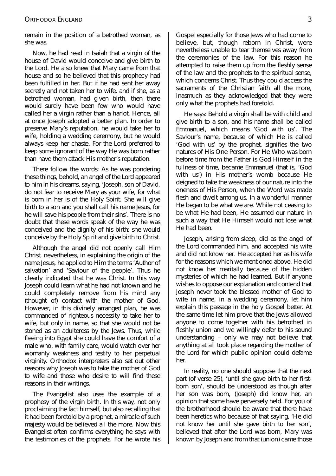remain in the position of a betrothed woman, as she was.

Now, he had read in Isaiah that a virgin of the house of David would conceive and give birth to the Lord. He also knew that Mary came from that house and so he believed that this prophecy had been fulfilled in her. But if he had sent her away secretly and not taken her to wife, and if she, as a betrothed woman, had given birth, then there would surely have been few who would have called her a virgin rather than a harlot. Hence, all at once Joseph adopted a better plan. In order to preserve Mary's reputation, he would take her to wife, holding a wedding ceremony, but he would always keep her chaste. For the Lord preferred to keep some ignorant of the way He was born rather than have them attack Hismother's reputation.

There follow the words As *he* was pondering *these things, behold, an angel of the Lord appeared tohimin hisdreams, saying, ' Joseph, son ofDavid , do not fear to receive Mary asyour wi fe, for wha t is born in her is of the Holy Spi ri t. She wi l l giv e bi rth to a son and you shall cal l hisname Jesus, fo r he will save his people from their sins'*. There is no doubt that these words speak of the way he was conceived and the dignity of his birth: she would conceive by the Holy Spirit and give birth to Christ.

Although the angel did not openly call Him Christ, nevertheless, in explaining the origin of the name Jesus, he applied to Him the terms 'Author of salvation' and 'Saviour of the people'. Thus he clearly indicated that he was Christ In this way Joseph could learn what he had not known and he could completely remove from his mind any (thought of) contact with the mother of God. However, in this divinely arranged plan, he was commanded of righteous necessity to take her to wife, but only in name, so that she would not be stoned as an adulteress by the Jews. Thus, while fleeing into Egypt she could have the comfort of a male who, with family care, would watch over her womanly weakness and testify to her perpetual virginity. Orthodox interpreters also set out other reasons why Joseph was to take the mother of God to wife and those who desire to will find these reasons in their writings.

The Evangelist also uses the example of a prophesy of the virgin birth. In this way, not only proclaiming the fact himself, but also recalling that ithad been foretold by a prophet, a miracle of such majesty would be believed all the more. Now this Evangelist often confirms everything he says with the testimonies of the prophets. For he wrote his

Gospel especially for those Jews who had come to believe, but, though reborn in Christ, were nevertheless unable to tear themselves away from the ceremonies of the law. For this reason he attempted to raise them up from the fleshly sense of the law and the prophets to the spiritual sense, which concerns Christ. Thus they could access the sacraments of the Christian faith all the more, inasmuch as they acknowledged that they were only what the prophets had foretold.

He says: *Behold a vi rgin shal l bewi th chi ld an d give bi rth to a son, and his name shal l be cal le d Emman uel , which me ans 'Go d wi th us '*. The Saviour's name, because of which He is called 'God with us' by the prophet, signifies the two natures of His One Person. For He Who was born before time from the Father is God Himself in the fullness of time, became Emmanuel (that is, 'God with us') in His mother's womb because He deigned to take the weakness of our nature into the oneness of His Person, when *the Word was made flesh and dwelt among us*. In a wonderful manner He began to be what we are. While not ceasing to be what He had been. He assumed our nature in such a way that He Himself would not lose what He had been.

*Joseph, arising from sleep, did as the angel of the Lord commanded him, and accepted his wife and did not know her.* He accepted her as his wife for the reasons which we mentioned above. He did not know her maritally because of the hidden mysteries of which he had learned. But if anyone wishes to oppose our explanation and contend that Joseph never took the blessed mother of God to wife in name, in a wedding ceremony, let him explain this passage in the holy Gospel better. At the same time let him prove that the Jews allowed anyone to come together with his betrothed in fleshly union and we willingly defer to his sound understanding  $-$  only we may not believe that anything at all took place regarding the mother of the Lord for which public opinion could defame her.

In reality, no one should suppose that the next part (of verse 25), *'u ntil she gave bi rth to her fi rst born son'*, should be understood as though after her son was born, (Joseph) did know her, an opinion that some have perversely held. For you of the brotherhood should be aware that there have been heretics who because of that saying, 'He did *n ot know her unti l she gave bi rth to her son'*, believed that after the Lord was born, Mary was known by Joseph and from that (union) came those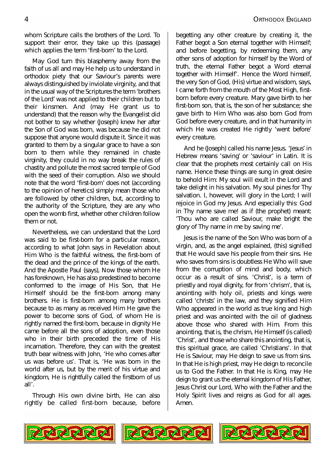whom Scripture calls the brothers of the Lord. To support their error, they take up this (passage) which applies the term 'first-born' to the Lord.

May God turn this blasphemy away from the faith of us all and may He help us to understand in orthodox piety that our Saviour's parents were always distinguished by inviolate virginity, and that in the usual way of the Scriptures the term 'brothers of the Lord' was not applied to their children but to their kinsmen. And (may He grant us to understand) that the reason why the Evangelist did not bother to say whether (Joseph) knew her after the Son of God was born, was because he did not suppose that anyone would dispute it Since it was granted to them by a singular grace to have a son born to them while they remained in chaste virginity, they could in no way break the rules of chastity and pollute the most sacred temple of God with the seed of their corruption. Also we should note that the word 'first-born' does not (according to the opinion of heretics) simply mean those who are followed by other children, but, according to the authority of the Scripture, they are any who open the womb first, whether other children follow them or not.

Nevertheless, we can understand that the Lord was said to be first-born for a particular reason, according to what John says in Revelation about *Him Who is the faithful witness, the f i rst-born o f the dead and the prince of the kings of the eart h*. And the Apostle Paul (says), *Now those whom He* has foreknown, He has also predestined to become *conformed to the image of His Son, that H e Himsel f should be the fi rst-born among man y brothers* He is first-born among many brothers because *to asmany as received Him He gave th e power to become sons of God*, *of* whom He is rightly named the first-born, because in dignity He came before all the sons of adoption, even those who in their birth preceded the time of His incarnation. Therefore, they can with the greatest truth bear witness with John, 'He who comes after us was before us. That is, 'He was born in the world after us, but by the merit of his virtue and kingdom, He is rightfully called the firstborn of us  $all'.$ 

Through His own divine birth, He can also rightly be called first-born because, before begetting any other creature by creating it, the Father begot a Son eternal together with Himself, and before begetting, by redeeming them, any other sons of adoption for himself by the Word of truth, the eternal Father begot a Word eternal together with Himself'. Hence the Word himself. the very Son of God, (His) virtue and wisdom, says, *I* came forth from the mouth of the Most High, first*born before every creature.* Mary gave birth to her first-born son, that is, the son of her substance; she gave birth to Him Who was also born God from God before every creature, and in that humanity in which He was created He rightly 'went before' every creature.

And he *(bseph)* called his name *Jesus* . 'Jesus' in Hebrew means 'saving' or 'saviour' in Latin. It is clear that the prophets most certainly call on His name. Hence these things are sung in great desire to behold Him: *My soul wi l l exult in the Lord an d take del ight in hissalvation. My soul pines for Th y salvation. I , h owever, wi l l glory in the Lord; I will rejoice in God my Jesus.* And especially this: God *in Thy name save me!* as if (the prophet) meant 'Thou who are called Saviour, make bright the glory of Thy name in me by saving me'.

Jesus is the name of the Son Who was born of a virgin, and, as the angel explained, (this) signified that He would save his people from their sins. He who saves from sins is doubtless He Who will save from the corruption of mind and body, which occur as a result of sins. 'Christ', is a term of priestly and royal dignity, for from 'chrism', that is, anointing with holy oil, priests and kings were called 'christs' in the law, and they signified Him Who appeared in the world as true king and high priest and was anointed with the oil of gladness above those who shared with Him. From this anointing, that is, the chrism, He Himself (is called) 'Christ', and those who share this anointing, that is, this spiritual grace, are called 'Christians'. In that He is Saviour, may He deign to save us from sins. In that He is high priest, may He deign to reconcile us to God the Father. In that He is King, may He deign to grantus the eternal kingdom of His Father, Jesus Christ our Lord, Who with the Father and the Holy Spirit lives and reigns as God for all ages. Amen.

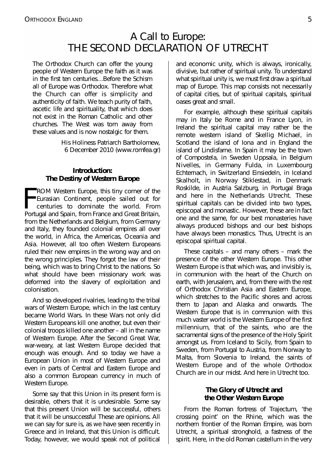# A Call to Europe: THE SECOND DECLARATION OF UTRECHT

The Orthodox Church can offer the young people of Western Europe the faith as it was in the first ten centuries. Before the Schism all of Europe was Orthodox. Therefore what the Church can offer is simplicity and authenticity of faith. We teach purity of faith, ascetic life and spirituality, that which does not exist in the Roman Catholic and other churches. The West was torn away from these values and is now nostalgic for them.

> *HisHol inessPatriarch Barth olomew, 6 December 2 01 0(www. romfea.gr )*

#### **I ntroduction: The Destiny of Western Europe**

FROM Western Europe, this tiny corner of the<br>Eurasian Continent, people sailed out for<br>centuries to dominate the world. From<br>Portugal and Spain, from France and Great Britain, "ROM Western Europe, this tiny corner of the Eurasian Continent, people sailed out for centuries to dominate the world. From from the Netherlands and Belgium, from Germany and Italy, they founded colonial empires all over the world, in Africa, the Americas, Oceania and Asia. However, all too often Western Europeans ruled their new empires in the wrong way and on the wrong principles. They forgot the law of their being, which was to bring Christ to the nations. So what should have been missionary work was deformed into the slavery of exploitation and colonisation

And so developed rival ries, leading to the tribal wars of Western Europe, which in the last century became World Wars. In these Wars not only did Western Europeans kill one another, but even their colonial troops killed one another - all in the name of Western Europe. After the Second Great War, war-weary, at last Western Europe decided that en ough was enough. And so today we have a European Union in most of Western Europe and even in parts of Central and Eastern Europe and also a common European currency in much of Western Europe.

Some say that this Union in its present form is desirable, others that it is undesirable. Some say that this present Union will be successful, others that it will be unsuccessful These are opinions. All we can say for sure is, as we have seen recently in Greece and in Ireland, that this Union is difficult. Today, however, we would speak not of political

and economic unity, which is always, ironically, divisive, but rather of spiritual unity. To understand what spiritual unity is, we must first draw a spiritual map of Europe. This map consists not necessarily of capital cities, but of spiritual capitals, spiritual oases great and small.

For example, although these spiritual capitals may in Italy be Rome and in France Lyon, in Ireland the spiritual capital may rather be the remote western island of Skellig Michael, in Scotland the island of Iona and in England the island of Lindisfame. In Spain it may be the town of Compostela, in Sweden Uppsala, in Belgium Nivelles, in Germany Fulda, in Luxembourg Echternach, in Switzerland Einsiedeln, in Iceland Skalholt, in Norway Stiklestad, in Denmark Roskilde, in Austria Salzburg, in Portugal Braga and here in the Netherlands Utrecht. These spiritual capitals can be divided into two types, episcopal and monastic. However, these are in fact one and the same, for our best monasteries have always produced bishops and our best bishops have always been monastics. Thus, U trecht is an episcopal spiritual capital.

These capitals  $-$  and many others  $-$  mark the presence of the other Western Europe. This other Western Europe is that which was, and invisibly is, in communion with the heart of the Church on earth, with Jerusalem, and, from there with the rest of Orthodox Christian Asia and Eastern Europe, which stretches to the Pacific shores and across them to Japan and Alaska and onwards. The Western Europe that is in communion with this much vaster world is the Western Europe of the first millennium, that of the saints, who are the sacramental signs of the presence of the Holy Spirit amongst us. From Iceland to Sicily, from Spain to Sweden, from Portugal to Austria, from Norway to Malta, from Slovenia to Ireland, the saints of Western Europe and of the whole Orthodox Church are in our midst And here in U trecht too.

#### **The Glory of U trecht and the Other Western Europe**

From the Roman fortress of *Trajectum*, 'the crossing point on the Rhine, which was the northern frontier of the Roman Empire, was born U trecht, a spiritual stronghold, a fastness of the spirit. Here, in the old Roman *castellum* in the very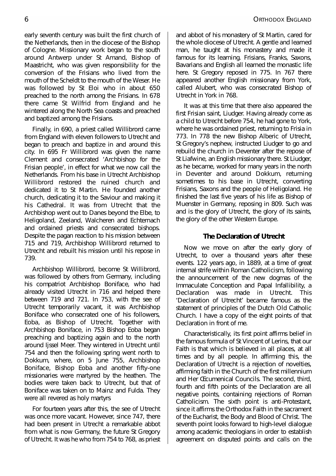early seventh century was built the first church of the Netherlands, then in the diocese of the Bishop of Cologne. Missionary work began to the south around Antwerp under St Amand, Bishop of Maastricht, who was given responsibility for the conversion of the Frisians who lived from the mouth of the Scheldt to the mouth of the Weser. He was followed by St Eloi who in about 650 preached to the north among the Frisians. In 678 there came St Wilfrid from England and he wintered along the North Sea coasts and preached and baptized among the Frisians.

Finally, in 690, a priest called Willibrord came from England with eleven followers to U trecht and began to preach and baptize in and around this  $city.$  In 695 Fr Willibrord was given the name Clement and consecrated 'Archbishop for the Frisian people', in effect for what we now call the Netherlands. From his base in Utrecht Archbishop Willibrord restored the ruined church and dedicated it to St Martin. He founded another church, dedicating it to the Saviour and making it his Cathedral. It was from Utrecht that the Archbishop went out to Danes beyond the Elbe, to Heligoland, Zeeland, Walcheren and Echternach and ordained priests and consecrated bishops . Despite the pagan reaction to his mission between 715 and 719, Archbishop Willibrord returned to U trecht and rebuilt his mission until his repose in 739.

Archbishop Willibrord, become St Willibrord, was followed by others from Germany, including his compatriot Archbishop Boniface, who had already visited Utrecht in 716 and helped there between 719 and 721. In 753, with the see of Utrecht temporarily vacant, it was Archbishop Boniface who consecrated one of his followers, Eoba, as Bishop of Utrecht. Together with Archbishop Boniface, in 753 Bishop Eoba began preaching and baptizing again and to the north around Ijssel Meer. They wintered in Utrecht until 754 and then the following spring went north to Dokkum, where, on 5 June 755, Archbishop Boniface, Bishop Eoba and another fifty-one missionaries were martyred by the heathen. The bodies were taken back to Utrecht, but that of Boniface was taken on to Mainz and Fulda. They were all revered as holy martyrs

For fourteen years after this, the see of U trecht was once more vacant. However, since 747, there had been present in U trecht a remarkable abbot from what is now Germany, the future St Gregory of U trecht. It was he who from 754 to 768, as priest

and abbot of his monastery of St Martin, cared for the whole diocese of U trecht. A gentle and learned man, he taught at his monastery and made it famous for its learning. Frisians, Franks, Saxons, Bavarians and English all learned the monastic life here. St Gregory reposed in 775. In 767 there appeared another English missionary from York, called Alubert, who was consecrated Bishop of Utrecht in York in 768.

It was at this time that there also appeared the first Frisian saint, Liudger. Having already come as a child to U trecht before 754, he had gone to York, where he was ordained priest, returning to Frisia in 773. In 778 the new Bishop Alberic of U trecht St Gregory's nephew, instructed Liudger to go and rebuild the church in Deventer after the repose of St Liafwine, an English missionary there. St Liudger, as he became, worked for many years in the north in Deventer and around Dokkum, returning sometimes to his base in Utrecht, converting Frisians, Saxons and the people of Heligoland. He finished the last five years of his life as Bishop of Muenster in Germany, reposing in 809. Such was and is the glory of U trecht, the glory of its saints, the glory of the other Western Europe.

#### **The Declaration of U trecht**

Now we move on after the early glory of U trecht, to over a thousand years after these events. 122 years ago, in 1889, at a time of great internal strife within Roman Catholicism, following the announcement of the new dogmas of the Immaculate Conception and Papal Infallibility, a Declaration was made in Utrecht. This 'Declaration of Utrecht' became famous as the statement of principles of the Dutch Old Catholic Church. I have a copy of the eight points of that Declaration in front of me.

Characteristically, its first point affirms belief in the famous formula of St Vincent of Lerins, that our Faith is that which is believed in all places, at all times and by all people. In affirming this, the Declaration of U trecht is a rejection of novelties, affirming faith in the Church of the first millennium and Her CEcumenical Councils. The second, third, fourth and fifth points of the Declaration are all negative points, containing rejections of Roman Catholicism. The sixth point is anti-Protestant, since it affirms the Orthodox Faith in the sacrament of the Eucharist, the Body and Blood of Christ. The seventh point looks forward to high-level dialogue among academic theologians in order to establish agreement on disputed points and calls on the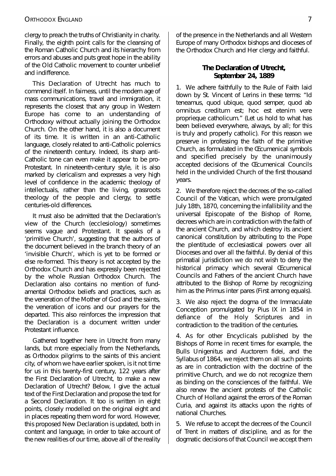clergy to preach the truths of Christianity in charity. Finally, the eighth point calls for the cleansing of the Roman Catholic Church and its hierarchy from errors and abuses and puts great hope in the ability of the Old Catholic movement to counter unbelief and indifference

This Declaration of Utrecht has much to commend itself. In fairness, until the modern age of mass communications, travel and immigration, it represents the closest that any group in Western Europe has come to an understanding of Orthodoxy without actually joining the Orthodox Church. On the other hand, it is also a document of its time. It is written in an anti-Catholic language, closely related to anti-Catholic polemics of the nineteenth century. Indeed, its sharp anti-Catholic tone can even make it appear to be pro-Protestant In nineteenth-century style, it is also marked by clericalism and expresses a very high level of confidence in the academic theology of intellectuals, rather than the living, grassroots theology of the people and clergy, to settle centuries-old differences

It must also be admitted that the Declaration's view of the Church (ecclesiology) sometimes seems vague and Protestant It speaks of a 'primitive Church', suggesting that the authors of the document believed in the branch theory of an 'invisible Church', which is yet to be formed or else re-formed. This theory is not accepted by the Orthodox Church and has expressly been rejected by the whole Russian Orthodox Church. The Declaration also contains no mention of fundamental Orthodox beliefs and practices, such as the veneration of the Mother of God and the saints, the veneration of icons and our prayers for the departed. This also reinforces the impression that the Declaration is a document written under Protestant influence.

Gathered together here in U trecht from many lands, but more especially from the Netherlands, as Orthodox pilgrims to the saints of this ancient city, of whom we have earlier spoken, is it not time for us in this twenty-first century, 122 years after the First Declaration of Utrecht, to make a new Declaration of U trecht? Below, I give the actual text of the First Declaration and propose the text for a Second Declaration. It too is written in eight points, closely modelled on the original eight and in places repeating them word for word. However, this proposed New Declaration is updated, both in content and language, in order to take account of the new realities of our time, above all of the reality

of the presence in the Netherlands and all Western Europe of many Orthodox bishops and dioceses of the Orthodox Church and Her clergy and faithful.

#### The Declaration of U trecht, September 24, 1889

1. We adhere faithfully to the Rule of Faith laid down by St Vincent of Lerins in these terms "Id teneamus, quod ubique, quod semper, quod ab omnibus creditum est; hoc est etenim vere proprieque catholicum." (Let us hold to what has been believed everywhere, always, by all; for this is truly and properly catholic). For this reason we preserve in professing the faith of the primitive Church, as formulated in the Œcumenical symbols and specified precisely by the unanimously accepted decisions of the Œcumenical Councils held in the undivided Church of the first thousand years.

2. We therefore reject the decrees of the so-called Council of the Vatican, which were promulgated July 18th, 1870, concerning the infallibility and the universal Episcopate of the Bishop of Rome, decrees which are in contradiction with the faith of the ancient Church, and which destroy its ancient canonical constitution by attributing to the Pope the plentitude of ecclesiastical powers over all Dioceses and over all the faithful. By denial of this primatial jurisdiction we do not wish to deny the historical primacy which several Œcumenical Councils and Fathers of the ancient Church have attributed to the Bishop of Rome by recognizing him as the Primus inter pares (First among equals).

3. We also reject the dogma of the Immaculate Conception promulgated by Pius IX in 1854 in defiance of the Holy Scriptures and in contradiction to the tradition of the centuries

4. As for other Encyclicals published by the Bishops of Rome in recent times for example, the Bulls Unigenitus and Auctorem fidei, and the Syllabus of 1864, we reject them on all such points as are in contradiction with the doctrine of the primitive Church, and we do not recognize them as binding on the consciences of the faithful. We also renew the ancient protests of the Catholic Church of Holland against the errors of the Roman Curia, and against its attacks upon the rights of national Churches

5. We refuse to accept the decrees of the Council of Trent in matters of discipline, and as for the dogmatic decisions of that Council we accept them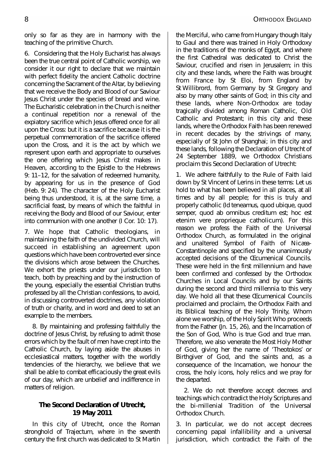only so far as they are in harmony with the teaching of the primitive Church.

6. Considering that the Holy Eucharist has always been the true central point of Catholic worship, we consider it our right to declare that we maintain with perfect fidelity the ancient Catholic doctrine concerning the Sacrament of the Altar, by believing that we receive the Body and Blood of our Saviour Jesus Christ under the species of bread and wine. The Eucharistic celebration in the Church is neither a continual repetition nor a renewal of the explatory sacrifice which Jesus offered once for all upon the Cross butitis a sacrifice because it is the perpetual commemoration of the sacrifice offered upon the Cross, and it is the act by which we represent upon earth and appropriate to ourselves the one offering which Jesus Christ makes in Heaven, according to the Epistle to the Hebrews 9: 11-12, for the salvation of redeemed humanity, by appearing for us in the presence of God (Heb. 9: 24). The character of the Holy Eucharist being thus understood, it is, at the same time, a sacrificial feast, by means of which the faithful in receiving the Body and Blood of our Saviour, enter into communion with one another (I Cor. 10: 17).

7. We hope that Catholic theologians, in maintaining the faith of the undivided Church, will succeed in establishing an agreement upon questions which have been controverted ever since the divisions which arose between the Churches. We exhort the priests under our jurisdiction to teach, both by preaching and by the instruction of the young, especially the essential Christian truths professed by all the Christian confessions, to avoid, in discussing controverted doctrines, any violation of truth or charity, and in word and deed to set an example to the members.

8. By maintaining and professing faithfully the doctrine of Jesus Christ, by refusing to admit those errors which by the fault of men have crept into the Catholic Church, by laying aside the abuses in ecclesiastical matters, together with the worldly tendencies of the hierarchy, we believe that we shall be able to combatefficaciously the greatevils of our day, which are unbelief and indifference in matters of religion.

#### The Second Declaration of U trecht, 19 May 2011

In this city of Utrecht, once the Roman stronghold of Trajectum, where in the seventh century the first church was dedicated to St Martin

the Merciful, who came from Hungary though Italy to Gaul and there was trained in Holy Orthodoxy in the traditions of the monks of Egypt, and where the first Cathedral was dedicated to Christ the Saviour crucified and risen in Jerusalem: in this city and these lands, where the Faith was brought from France by St Eloi, from England by St Willibrord, from Germany by St Gregory and also by many other saints of God; in this city and these lands, where Non-Orthodox are today tragically divided among Roman Catholic, Old Catholic and Protestant in this city and these lands, where the Orthodox Faith has been renewed in recent decades by the strivings of many, especially of St John of Shanghai; in this city and these lands, following the Declaration of U trecht of 24 September 1889, we Orthodox Christians proclaim this Second Declaration of U trecht

1. We adhere faithfully to the Rule of Faith laid down by St Vincent of Lerins in these terms: Let us hold to what has been believed in all places, at all times and by all people; for this is truly and properly catholic (Id teneamus, quod ubique, quod semper, quod ab omnibus creditum est; hoc est etenim vere proprieque catholicum). For this reason we profess the Faith of the Universal Orthodox Church, as formulated in the original and unaltered Symbol of Faith of Nicæa-Constantinople and specified by the unanimously accepted decisions of the CEcumenical Councils These were held in the first millennium and have been confirmed and confessed by the Orthodox Churches in Local Councils and by our Saints during the second and third millennia to this very day. We hold all that these Œcumenical Councils proclaimed and proclaim, the Orthodox Faith and its Biblical teaching of the Holy Trinity, Whom alone we worship, of the Holy Spirit Who proceeds from the Father (Jn. 15, 26), and the Incarnation of the Son of God, Who is true God and true man. Therefore, we also venerate the Most Holy Mother of God, giving her the name of 'Theotokos' or Birthqiver of God, and the saints and, as a consequence of the Incarnation, we honour the cross, the holy icons, holy relics and we pray for the departed.

2. We do not therefore accept decrees and teachings which contradict the Holy Scriptures and the bi-millenial Tradition of the Universal Orthodox Church.

3. In particular, we do not accept decrees concerning papal infallibility and a universal jurisdiction, which contradict the Faith of the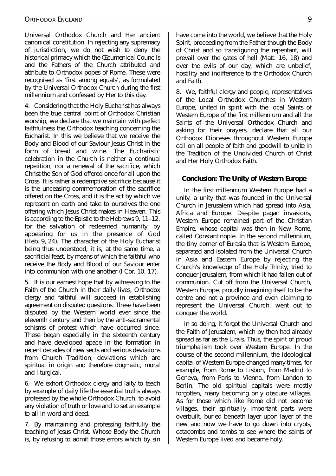Universal Orthodox Church and Her ancient canonical constitution. In rejecting any supremacy of jurisdiction, we do not wish to deny the historical primacy which the Œcumenical Councils and the Fathers of the Church attributed and attribute to Orthodox popes of Rome. These were recognised as 'first among equals', as formulated by the Universal Orthodox Church during the first millennium and confessed by Her to this day.

4. Considering that the Holy Eucharist has always been the true central point of Orthodox Christian worship, we declare that we maintain with perfect faithfulness the Orthodox teaching concerning the Eucharist In this we believe that we receive the Body and Blood of our Saviour Jesus Christ in the form of bread and wine. The Eucharistic celebration in the Church is neither a continual repetition, nor a renewal of the sacrifice, which Christ the Son of God offered once for all upon the Cross. It is rather a redemptive sacrifice because it is the unceasing commemoration of the sacrifice offered on the Cross, and it is the act by which we represent on earth and take to ourselves the one offering which Jesus Christ makes in Heaven. This is according to the Epistle to the Hebrews 9, 11-12. for the salvation of redeemed humanity, by appearing for us in the presence of God (Heb. 9, 24). The character of the Holy Eucharist being thus understood, it is, at the same time, a sacrificial feast, by means of which the faithful who receive the Body and Blood of our Saviour enter into communion with one another (I Cor. 10, 17).

5. It is our earnest hope that by witnessing to the Faith of the Church in their daily lives, Orthodox clergy and faithful will succeed in establishing agreement on disputed questions. These have been disputed by the Western world ever since the eleventh century and then by the anti-sacramental schisms of protest which have occurred since. These began especially in the sixteenth century and have developed apace in the formation in recent decades of new sects and serious deviations from Church Tradition, deviations which are spiritual in origin and therefore dogmatic, moral and liturgical.

6. We exhort Orthodox clergy and laity to teach by example of daily life the essential truths always professed by the whole Orthodox Church, to avoid any violation of truth or love and to set an example to all in word and deed.

7. By maintaining and professing faithfully the teaching of Jesus Christ, Whose Body the Church is, by refusing to admit those errors which by sin have come into the world, we believe that the Holy Spirit, proceeding from the Father though the Body of Christ and so transfiguring the repentant will prevail over the gates of hell (Matt 16, 18) and over the evils of our day, which are unbelief. hostility and indifference to the Orthodox Church and Faith.

8. We, faithful clergy and people, representatives of the Local Orthodox Churches in Western Europe, united in spirit with the local Saints of Western Europe of the first millennium and all the Saints of the Universal Orthodox Church and asking for their prayers, declare that all our Orthodox Dioceses throughout Western Europe call on all people of faith and goodwill to unite in the Tradition of the Undivided Church of Christ and Her Holy Orthodox Faith.

#### Conclusion: The Unity of Western Europe

In the first millennium Western Europe had a unity, a unity that was founded in the Universal Church in Jerusalem which had spread into Asia, Africa and Europe. Despite pagan invasions, Western Europe remained part of the Christian Empire, whose capital was then in New Rome, called Constantinople. In the second millennium, the tiny corner of Eurasia that is Western Europe, separated and isolated from the Universal Church in Asia and Eastern Europe by rejecting the Church's knowledge of the Holy Trinity, tried to conquer Jerusalem, from which it had fallen out of communion. Cut off from the Universal Church. Western Europe, proudly imagining itself to be the centre and not a province and even claiming to represent the Universal Church, went out to conquer the world.

In so doing, it forgot the Universal Church and the Faith of Jerusalem, which by then had already spread as far as the Urals. Thus, the spirit of proud triumphalism took over Western Europe. In the course of the second millennium, the ideological capital of Western Europe changed many times, for example, from Rome to Lisbon, from Madrid to Geneva, from Paris to Vienna, from London to Berlin. The old spiritual capitals were mostly forgotten, many becoming only obscure villages. As for those which like Rome did not become villages, their spiritually important parts were overbuilt, buried beneath layer upon layer of the new and now we have to go down into crypts, catacombs and tombs to see where the saints of Western Europe lived and became holy.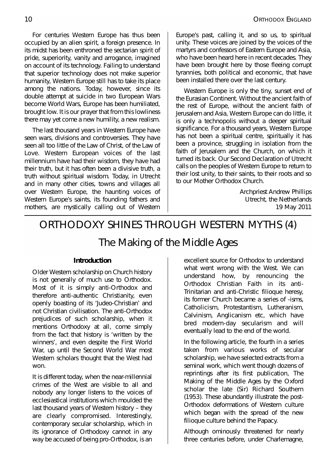For centuries Western Europe has thus been occupied by an alien spirit, a foreign presence. In its midst has been enthroned the sectarian spirit of pride, superiority, vanity and arrogance, imagined on account of its technology. Failing to understand that superior technology does not make superior humanity, Western Europe still has to take its place among the nations Today, however, since its double attempt at suicide in two European Wars become World Wars, Europe has been humiliated, broughtlow. It is our prayer that from this lowliness there may yet come a new humility, a new realism.

The last thousand years in Western Europe have seen wars, divisions and controversies. They have seen all too little of the Law of Christ, of the Law of Love. Western European voices of the last millennium have had their wisdom, they have had their truth, but it has often been a divisive truth, a truth without spiritual wisdom. Today, in U trecht and in many other cities, towns and villages all over Western Europe, the haunting voices of Western Europe's saints, its founding fathers and mothers, are mystically calling out of Western

Europe's past calling it and so us, to spiritual unity. These voices are joined by the voices of the martyrs and confessors of Eastern Europe and Asia. who have been heard here in recent decades. They have been brought here by those fleeing corrupt tyrannies, both political and economic, that have been installed there over the last century.

Western Europe is only the tiny, sunset end of the Eurasian Continent, Without the ancient faith of the rest of Europe, without the ancient faith of Jerusalem and Asia, Western Europe can do little, it is only a technopolis without a deeper spiritual significance. For a thousand years, Western Europe has not been a spiritual centre, spiritually it has been a province, struggling in isolation from the faith of Jerusalem and the Church, on which it turned its back. Our Second Declaration of U trecht calls on the peoples of Western Europe to return to their lost unity, to their saints, to their roots and so to our Mother Orthodox Church.

> Archpriest Andrew Phillips U trecht, the Netherlands 19 May 2011

# ORTHODOXY SHINES THROUGH WESTERN MYTHS (4)

The Making of the Middle Ages

#### Introduction

Older Western scholarship on Church history is not generally of much use to Orthodox. Most of it is simply anti-Orthodox and therefore anti-authentic Christianity, even openly boasting of its 'Judeo-Christian' and not Christian civilisation. The anti-Orthodox prejudices of such scholarship, when it mentions Orthodoxy at all, come simply from the fact that history is 'written by the winners', and even despite the First World War, up until the Second World War most Western scholars thought that the West had won.

It is different today, when the near-millennial crimes of the West are visible to all and nobody any longer listens to the voices of ecclesiastical institutions which moulded the last thousand years of Western history - they are clearly compromised. Interestingly, contemporary secular scholarship, which in its ignorance of Orthodoxy cannot in any way be accused of being pro-Orthodox, is an

excellent source for Orthodox to understand what went wrong with the West We can understand how, by renouncing the Orthodox Christian Faith in its anti-Trinitarian and anti-Christic filioque heresy, its former Church became a series of -isms, Catholicism, Protestantism, Lutheranism, Calvinism, Anglicanism etc, which have bred modern-day secularism and will eventually lead to the end of the world.

In the following article, the fourth in a series taken from various works of secular scholarship, we have selected extracts from a seminal work, which went though dozens of reprintings after its first publication, The Making of the Middle Ages by the Oxford scholar the late (Sir) Richard Southern (1953). These abundantly illustrate the post-Orthodox deformations of Western culture which began with the spread of the new filioque culture behind the Papacy.

Although ominously threatened for nearly three centuries before, under Charlemagne,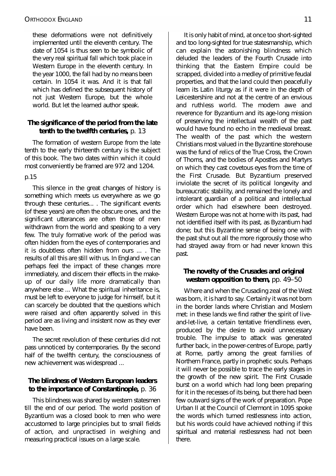these deformations were not definitively implemented until the eleventh century. The date of 1054 is thus seen to be symbolic of the very real spiritual fall which took place in Western Europe in the eleventh century. In the year 1000, the fall had by no means been certain. In 1054 it was And it is that fall which has defined the subsequent history of not just Western Europe, but the whole world. But let the learned author speak.

#### The significance of the period from the late tenth to the twelfth centuries, p. 13

The formation of western Europe from the late tenth to the early thirteenth century is the subject of this book. The two dates within which it could most conveniently be framed are 972 and 1204.

#### p.15

This silence in the great changes of history is something which meets us everywhere as we go through these centuries... The significant events (of these years) are often the obscure ones, and the significant utterances are often those of men withdrawn from the world and speaking to a very few. The truly formative work of the period was often hidden from the eyes of contemporaries and it is doubtless often hidden from ours ... . The results of all this are still with us. In England we can perhaps feel the impact of these changes more immediately, and discern their effects in the makeup of our daily life more dramatically than anywhere else ... What the spiritual inheritance is, must be left to everyone to judge for himself, but it can scarcely be doubted that the questions which were raised and often apparently solved in this period are as living and insistent now as they ever have been.

The secret revolution of these centuries did not pass unnoticed by contemporaries. By the second half of the twelfth century, the consciousness of new achievement was widespread ...

The blindness of Western European leaders to the importance of Constantinople, p. 36

This blindness was shared by western statesmen till the end of our period. The world position of Byzantium was a closed book to men who were accustomed to large principles but to small fields of action, and unpractised in weighing and measuring practical issues on a large scale.

It is only habit of mind, at once too short-sighted and too long-sighted for true statesmanship, which can explain the astonishing blindness which deluded the leaders of the Fourth Crusade into thinking that the Eastern Empire could be scrapped, divided into a medley of primitive feudal properties, and that the land could then peacefully learn its Latin liturgy as if it were in the depth of Leicestershire and not at the centre of an envious and ruthless world. The modem awe and reverence for Byzantium and its age-long mission of preserving the intellectual wealth of the past would have found no echo in the medieval breast The wealth of the past which the western Christians most valued in the Byzantine storehouse was the fund of relics of the True Cross, the Crown of Thorns, and the bodies of Apostles and Martyrs on which they cast covetous eyes from the time of the First Crusade. But Byzantium preserved inviolate the secret of its political longevity and bureaucratic stability, and remained the lonely and intolerant guardian of a political and intellectual order which had elsewhere been destroyed. Western Europe was not at home with its past, had not identified itself with its past, as Byzantium had done; but this Byzantine sense of being one with the past shut out all the more rigorously those who had strayed away from or had never known this past

#### The novelty of the Crusades and original western opposition to them, pp. 49-50

Where and when the Crusading zeal of the West was born, it is hard to say. Certainly it was not born in the border lands where Christian and Moslem met in these lands we find rather the spirit of liveand-let-live, a certain tentative friendliness even, produced by the desire to avoid unnecessary trouble. The impulse to attack was generated further back, in the power-centres of Europe, partly at Rome, partly among the great families of Northern France, partly in prophetic souls. Perhaps it will never be possible to trace the early stages in the growth of the new spirit The First Crusade burst on a world which had long been preparing for it in the recesses of its being, but there had been few outward signs of the work of preparation. Pope Urban II at the Council of Clermont in 1095 spoke the words which turned restlessness into action, but his words could have achieved nothing if this spiritual and material restlessness had not been there.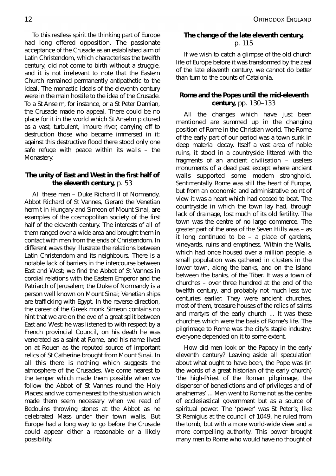To this restless spirit the thinking part of Europe had long offered opposition. The passionate acceptance of the Crusade as an established aim of Latin Christendom, which characterises the twelfth century, did not come to birth without a struggle, and it is not irrelevant to note that the Eastern Church remained permanently antipathetic to the ideal. The monastic ideals of the eleventh century were in the main hostile to the idea of the Crusade. To a St Anselm, for instance, or a St Peter Damian , the Crusade made no appeal. There could be no place for it in the world which St Anselm pictured as a vast, turbulent, impure river, carrying off to destruction those who became immersed in it against this destructive flood there stood only one safe refuge with peace within its walls - the Monastery.

#### **T he u nity of E ast an d West in the fi r st hal fo f** the eleventh century, p. 53

All these men - Duke Richard II of Normandy, Abbot Richard of St Vannes, Gerard the Venetian hermit in Hungary and Simeon of Mount Sinai, are examples of the cosmopolitan society of the first half of the eleventh century. The interests of all of them ranged over a wide area and brought them in contact with men from the ends of Christendom. In different ways they illustrate the relations between Latin Christendom and its neighbours. There is a notable lack of barriers in the intercourse between East and West we find the Abbot of St Vannes in cordial relations with the Eastern Emperor and the Patriarch of Jerusalem; the Duke of Normandy is a person well known on Mount Sinai; Venetian ships are trafficking with Egypt. In the reverse direction, the career of the Greek monk Simeon contains no hint that we are on the eve of a great split between East and West he was listened to with respect by a French provincial Council, on his death he was venerated as a saint at Rome, and his name lived on at Rouen as the reputed source of important relics of St Catherine brought from Mount Sinai. In all this there is nothing which suggests the atmosphere of the Crusades. We come nearest to the temper which made them possible when we follow the Abbot of St Vannes round the Holy Places; and we come nearest to the situation which made them seem necessary when we read of Bedouins throwing stones at the Abbot as he celebrated Mass under their town walls. But Europe had a long way to go before the Crusade could appear either a reasonable or a likely possibility.

#### The change of the late eleventh century, p. 115

If we wish to catch a glimpse of the old church life of Europe before it was transformed by the zeal of the late eleventh century, we cannot do better than turn to the counts of Catalonia.

#### **Rome** and the Popes until the mid-eleventh century, pp. 130-133

All the changes which have just been mentioned are summed up in the changing position of Rome in the Christian world. The Rome of the early part of our period was a town sunk in deep material decay. Itself a vast area of noble ruins, it stood in a countryside littered with the fragments of an ancient civilisation - useless monuments of a dead past except where ancient walls supported some modem stronghold. Sentimentally Rome was still the heart of Europe, but from an economic and administrative point of view it was a heart which had ceased to beat. The countryside in which the town lay had, through lack of drainage, lost much of its old fertility. The town was the centre of no large commerce. The greater part of the area of the Seven Hills was - as it long continued to be  $-$  a place of gardens, vineyards, ruins and emptiness. Within the Walls, which had once housed over a million people, a small population was gathered in clusters in the lower town, along the banks, and on the Island between the banks, of the Tiber. It was a town of  $churches - over three hundred at the end of the$ twelfth century, and probably not much less two centuries earlier. They were ancient churches, most of them, treasure houses of the relics of saints and martyrs of the early church ... It was these churches which were the basis of Rome's life. The pilgrimage to Rome was the city's staple industry: everyone depended on it to some extent.

How did men look on the Papacy in the early eleventh century? Leaving aside all speculation about what ought to have been, the Pope was (in the words of a great historian of the early church) 'the high-Priest of the Roman pilgrimage, the dispenser of benedictions and of privileges and of anathemas' ... Men went to Rome not as the centre of ecclesiastical government but as a source of spiritual power. The 'power' was St Peter's, like St Remigius at the council of 1049, he ruled from the tomb, but with a more world-wide view and a more compelling authority. This power brought many men to Rome who would have no thought of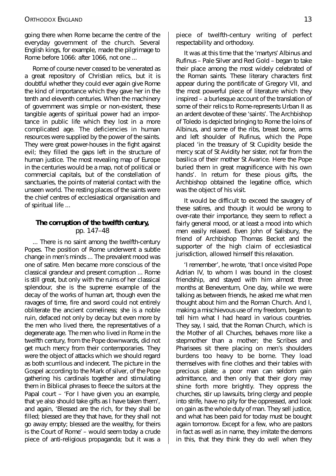going there when Rome became the centre of the everyday government of the church. Several English kings, for example, made the pilgrimage to Rome before 1066: after 1066, not one ...

Rome of course never ceased to be venerated as a great repository of Christian relics, but it is doubtful whether they could ever again give Rome the kind of importance which they gave her in the tenth and eleventh centuries. When the machinery of government was simple or non-existent, these tangible agents of spiritual power had an importance in public life which they lost in a more complicated age. The deficiencies in human resources were supplied by the power of the saints. They were great power-houses in the fight against evil; they filled the gaps left in the structure of human justice. The most revealing map of Europe in the centuries would be a map, not of political or commercial capitals, but of the constellation of sanctuaries, the points of material contact with the unseen world. The resting places of the saints were the chief centres of ecclesiastical organisation and of spiritual life...

#### The corruption of the twelfth century, pp. 147-48

... There is no saint among the twelfth-century Popes. The position of Rome underwent a subtle change in men's minds... The prevalent mood was one of satire. Men became more conscious of the classical grandeur and present corruption ... Rome is still great, but only with the ruins of her classical splendour, she is the supreme example of the decay of the works of human art, though even the ravages of time, fire and sword could not entirely obliterate the ancient comeliness, she is a noble ruin, defaced not only by decay but even more by the men who lived there, the representatives of a degenerate age. The men who lived in Rome in the twelfth century, from the Pope downwards, did not get much mercy from their contemporaries. They were the object of attacks which we should regard as both scurrilous and indecent. The picture in the Gospel according to the Mark of silver, of the Pope gathering his cardinals together and stimulating them in Biblical phrases to fleece the suitors at the Papal court - 'For I have given you an example, that ye also should take gifts as I have taken them', and again, 'Blessed are the rich, for they shall be filled; blessed are they that have, for they shall not go away empty; blessed are the wealthy, for theirs is the Court of Rome' - would seem today a crude piece of anti-religious propaganda; but it was a

piece of twelfth-century writing of perfect respectability and orthodoxy.

It was at this time that the 'martyrs' Albinus and Rufinus - Pale Silver and Red Gold - began to take their place among the most widely celebrated of the Roman saints. These literary characters first appear during the pontificate of Gregory VII, and the most powerful piece of literature which they inspired - a burlesque account of the translation of some of their relics to Rome-represents Urban II as an ardent devotee of these 'saints'. The Archbishop of Toledo is depicted bringing to Rome the loins of Albinus, and some of the ribs, breast bone, arms and left shoulder of Rufinus, which the Pope placed 'in the treasury of St Cupidity beside the mercy scat of St Avidity her sister, not far from the basilica of their mother St Avarice. Here the Pope buried them in great magnificence with his own hands'. In return for these pious gifts, the Archbishop obtained the legatine office, which was the object of his visit

It would be difficult to exceed the savagery of these satires, and though it would be wrong to over-rate their importance, they seem to reflect a fairly general mood, or at least a mood into which men easily relaxed. Even John of Salisbury, the friend of Archbishop Thomas Becket and the supporter of the high claim of ecclesiastical jurisdiction, allowed himself this relaxation.

'I remember', he wrote, 'that I once visited Pope Adrian IV, to whom I was bound in the closest friendship, and stayed with him almost three months at Beneventum, One day, while we were talking as between friends, he asked me what men thought about him and the Roman Church. And I. making a mischievous use of my freedom, began to tell him what I had heard in various countries. They say, I said, that the Roman Church, which is the Mother of all Churches, behaves more like a stepmother than a mother; the Scribes and Pharisees sit there placing on men's shoulders burdens too heavy to be borne. They load themselves with fine clothes and their tables with precious plate; a poor man can seldom gain admittance, and then only that their glory may shine forth more brightly. They oppress the churches, stir up lawsuits, bring clergy and people into strife, have no pity for the oppressed, and look on gain as the whole duty of man. They sell justice, and what has been paid for today must be bought again tomorrow. Except for a few, who are pastors in fact as well as in name, they imitate the demons in this, that they think they do well when they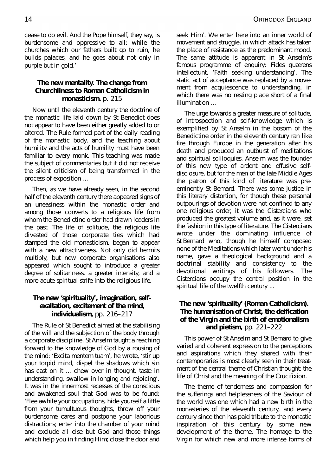cease to do evil. And the Pope himself, they say, is burdensome and oppressive to all: while the churches which our fathers built go to ruin, he builds palaces, and he goes about not only in purple but in gold. '

#### **The new mentality. The change from Ch urchl ines sto Roman Cathol icismi n monasticism.** p. 21 5

Now until the eleventh century the doctrine of the monastic life laid down by St Benedict does not appear to have been either greatly added to or altered. The Rule formed part of the daily reading of the monastic body, and the teaching about humility and the acts of humility must have been familiar to every monk. This teaching was made the subject of commentaries but it did not receive the silent criticism of being transformed in the process of exposition ...

Then, as we have already seen, in the second half of the eleventh century there appeared signs of an uneasiness within the monastic order and among those converts to a religious life from whom the Benedictine order had drawn leaders in the past. The life of solitude, the religious life divested of those corporate ties which had stamped the old monasticism, began to appear with a new attractiveness. Not only did hermits multiply, but new corporate organisations also appeared which sought to introduce a greater degree of solitariness, a greater intensity, and a more acute spiritual strife into the religious life.

#### **The new'spi ritual ity' , ima gination, sel f exaltation, excitement of the mind , individualism, pp. 216-217**

The Rule of St Benedict aimed at the stabilising of the will and the subjection of the body through a corporate discipline. St Anselm taught a reaching forward to the knowledge of God by a rousing of the mind: '*Excita mentem tuam'*, he wrote, 'stir up your torpid mind, dispel the shadows which sin has cast on it ... chew over in thought taste in understanding, swallow in longing and rejoicing'. It was in the innermost recesses of the conscious and awakened soul that God was to be found 'Flee awhile your occupations, hide yourself a little from your tumultuous thoughts, throw off your burdensome cares and postpone your laborious distractions; enter into the chamber of your mind and exclude all else but God and those things which help you in finding Him; close the door and

seek Him'. We enter here into an inner world of movement and struggle, in which attack has taken the place of resistance as the predominant mood. The same attitude is apparent in St Anselm's famous programme of enquiry: Fides quærens *intellectunt* 'Faith seeking understanding'. The static act of acceptance was replaced by a movement from acquiescence to understanding, in which there was no resting place short of a final  $ill$ umination  $\ldots$ 

The urge towards a greater measure of solitude, of introspection and self-knowledge which is exemplified by St Anselm in the bosom of the Benedictine order in the eleventh century ran like fire through Europe in the generation after his death and produced an outburst of meditations and spiritual soliloquies. Anselm was the founder of this new type of ardent and effusive selfdisclosure, but for the men of the late Middle Ages the patron of this kind of literature was preeminently St Bemard. There was some justice in this literary distortion, for though these personal outpourings of devotion were not confined to any one religious order, it was the Cistercians who produced the greatest volume and, as it were, set the fashion in this type of literature. The Cistercians wrote under the dominating influence of St Bernard who, though he himself composed none of the Meditations which later went under his name, gave a theological background and a doctrinal stability and consistency to the devotional writings of his followers. The Cistercians occupy the central position in the spiritual life of the twelfth century ...

#### **The new 'spirituality' (Roman Catholicism). The humanisation of Christ, the deification of the Vi rgin and the bi rth of emotio nal is m** and pietism, pp. 221-222

This power of St Anselm and St Bernard to give varied and coherent expression to the perceptions and aspirations which they shared with their contemporaries is most clearly seen in their treatment of the central theme of Christian thought the life of Christ and the meaning of the Crucifixion.

The theme of tenderness and compassion for the sufferings and helplessness of the Saviour of the world was one which had a new birth in the monasteries of the eleventh century, and every century since then has paid tribute to the monastic inspiration of this century by some new development of the theme. The homage to the Virgin for which new and more intense forms of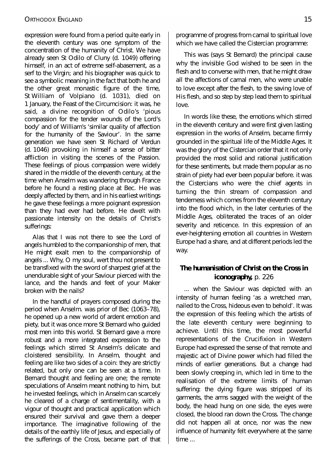expression were found from a period quite early in the eleventh century was one symptom of the concentration of the humanity of Christ. We have al ready seen St Odilo of Cluny (d. 1049) offering himself, in an act of extreme self-abasement, as a serf to the Virgin; and his biographer was quick to see a symbolic meaning in the fact that both he and the other great monastic figure of the time, St William of Volpiano (d. 1031), died on 1 January, the Feast of the Circumcision: it was, he said, a divine recognition of Odilo's 'pious compassion for the tender wounds of the Lord's body' and of William's 'similar quality of affection for the humanity of the Saviour'. In the same generation we have seen St Richard of Verdun (d. 1046) provoking in himself a sense of bitter affliction in visiting the scenes of the Passion. These feelings of pious compassion were widely shared in the middle of the eleventh century, at the time when Anselm was wandering through France before he found a resting place at Bec. He was deeply affected by them, and in his earliest writings he gave these feelings a more poignant expression than they had ever had before. He dwelt with passionate intensity on the details of Christ's sufferings:

Alas that I was not there to see the Lord of angels humbled to the companionship of men, that He might exalt men to the companionship of angels... Why, O my soul, wert thou not present to be transfixed with the sword of sharpest grief at the unendurable sight of your Saviour pierced with the lance, and the hands and feet of your Maker broken with the nails?

In the handful of prayers composed during the period when Anselm. was prior of Bec (1063-78), he opened up a new world of ardent emotion and piety, but it was once more St Bernard who quided most men into this world. St Bernard gave a more robust and a more integrated expression to the feelings which stirred St Anselm's delicate and cloistered sensibility. In Anselm, thought and feeling are like two sides of a coin: they are strictly related, but only one can be seen at a time. In Bernard thought and feeling are one; the remote speculations of Anselm meant nothing to him, but he invested feelings, which in Anselm can scarcely he cleared of a charge of sentimentality, with a vigour of thought and practical application which ensured their survival and gave them a deeper importance. The imaginative following of the details of the earthly life of Jesus, and especially of the sufferings of the Cross, became part of that programme of progress from carnal to spiritual love which we have called the Cistercian programme:

This was (says St Bernard) the principal cause why the invisible God wished to be seen in the flesh and to converse with men, that he might draw all the affections of carnal men, who were unable to love except after the flesh, to the saving love of His flesh, and so step by step lead them to spiritual love .

In words like these, the emotions which stirred in the eleventh century and were first given lasting expression in the works of Anselm, became firmly grounded in the spiritual life of the Middle Ages. It was the glory of the Cistercian order that it not only provided the most solid and rational justification for these sentiments, but made them popular as no strain of piety had ever been popular before. it was the Cistercians who were the chief agents in turning the thin stream of compassion and tenderness which comes from the eleventh century into the flood which, in the later centuries of the Middle Ages, obliterated the traces of an older severity and reticence. In this expression of an ever-heightening emotion all countries in Western Europe had a share, and at different periods led the way.

#### **The humanisation of Christ on the Cross in ico nography,** p. 226

... when the Saviour was depicted with an intensity of human feeling 'as a wretched man, nailed to the Cross, hideous even to behold'. It was the expression of this feeling which the artists of the late eleventh century were beginning to achieve. Until this time, the most powerful representations of the Crucifixion in Western Europe had expressed the sense of that remote and majestic act of Divine power which had filled the minds of earlier generations. But a change had been slowly creeping in, which led in time to the realisation of the extreme limits of human suffering: the dying figure was stripped of its garments, the arms sagged with the weight of the body, the head hung on one side, the eyes were closed, the blood ran down the Cross. The change did not happen all at once, nor was the new influence of humanity felt everywhere at the same  $time...$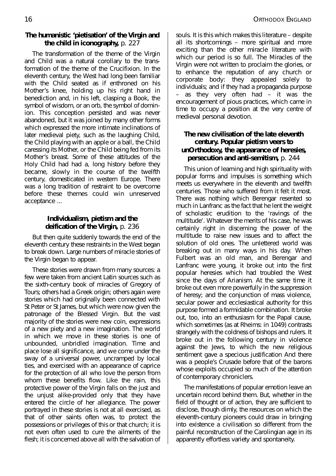#### **T he h umanistic 'pietisation' of the Vi rgin an d the child in iconography, p. 227**

The transformation of the theme of the Virgin and Child was a natural corollary to the transformation of the theme of the Crucifixion. In the eleventh century, the West had long been familiar with the Child seated as if enthroned on his Mother's knee, holding up his right hand in benediction and, in his left, clasping a Book, the symbol of wisdom, or an orb, the symbol of dominion. This conception persisted and was never abandoned, but it was joined by many other forms which expressed the more intimate inclinations of later medieval piety, such as the laughing Child, the Child playing with an apple or a ball, the Child caressing its Mother, or the Child being fed from its Mother's breast. Some of these attitudes of the Holy Child had had a, long history before they became, slowly in the course of the twelfth century, domesticated in western Europe. There was a long tradition of restraint to be overcome before these themes could win unreserved acceptance ...

#### **Individualism, pietism and the dei fic ation of the Vi rgin,** p. 23 6

But then quite suddenly towards the end of the eleventh century these restraints in the West began to break down. Large numbers of miracle stories of the Virgin began to appear.

These stories were drawn from many sources: a few were taken from ancient Latin sources such as the sixth-century book of miracles of Gregory of Tours; others had a Greek origin; others again were stories which had originally been connected with St Peter or St James, but which were now given the patronage of the Blessed Virgin. But the vast majority of the stories were new coin, expressions of a new piety and a new imagination. The world in which we move in these stories is one of unbounded, unbridled imagination. Time and place lose all significance, and we come under the sway of a universal power, uncramped by local ties, and exercised with an appearance of caprice for the protection of all who love the person from whom these benefits flow. Like the rain, this protective power of the Virgin falls on the just and the unjust alike-provided only that they have entered the circle of her allegiance. The power portrayed in these stories is not at all exercised, as that of other saints often was, to protect the possessions or privileges of this or that church; it is not even often used to cure the ailments of the flesh; it is concerned above all with the salvation of

souls. It is this which makes this literature - despite all its shortcomings - more spiritual and more exciting than the other miracle literature with which our period is so full. The Miracles of the *Virgin* were not written to proclaim the glories, or to enhance the reputation of any church or corporate body: they appealed solely to individuals; and if they had a propaganda purpose as they very often had  $-$  it was the encouragement of pious practices, which came in time to occupy a position at the very centre of medieval personal devotion.

#### **The new civilisation of the late eleventh century.** Popular pietism veers to **unOrthodoxy, the appearance of heresies, per se cution and anti-semitism,** p. 244

This union of learning and high spirituality with popular forms and impulses is something which meets us everywhere in the eleventh and twelfth centuries. Those who suffered from it felt it most. There was nothing which Berengar resented so much in Lanfranc as the fact that he lent the weight of scholastic erudition to the 'ravings of the multitude'. Whatever the merits of his case, he was certainly right in discerning the power of the multitude to raise new issues and to affect the solution of old ones. The unlettered world was breaking out in many ways in his day. When Fulbert was an old man, and Berengar and Lanfranc were young, it broke out into the first popular heresies which had troubled the West since the days of Arianism. At the same time it broke out even more powerfully in the suppression of heresy; and the conjunction of mass violence. secular power and ecclesiastical authority for this purpose formed a formidable combination. It broke out, too, into an enthusiasm for the Papal cause, which sometimes (as at Rheims: in 1049) contrasts strangely with the coldness of bishops and rulers. It broke out in the following century in violence against the Jews, to which the new religious sentiment gave a specious justification And there was a people's Crusade before that of the barons whose exploits occupied so much of the attention of contemporary chroniclers.

The manifestations of popular emotion leave an uncertain record behind them. But, whether in the field of thought or of action, they are sufficient to disclose, though dimly, the resources on which the eleventh-century pioneers could draw in bringing into existence a civilisation so different from the painful reconstruction of the Carolingian age in its apparently effortless variety and spontaneity.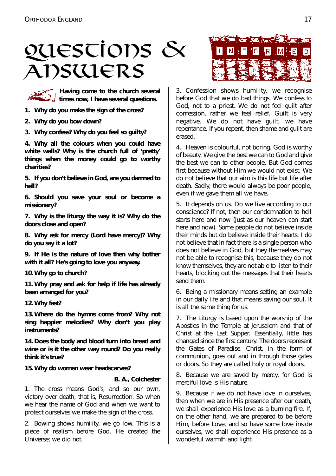# QUESTIONS & ANSWERS



**Having come to the church several timesnow, I have several questions .**

- **1. Why do yo u make the sign of the cross?**
- **2. Why do yo u bowdown ?**
- 3. Why confess? Why do you feel so quilty?

**4. Why al l the colours when you could hav e white wal ls? Why is the church ful l of 'pretty ' things** when the money could go to worthy **charities ?**

**5. I fyou don't bel ievein God, areyou damned t o hel l ?**

**6. Should yo u save yo ur so ul or be come a** missionary?

**7. Why is the l iturgy the way it is? Why do th e door sclose and open ?**

**8. Why ask for mercy (Lord have mercy)? Wh y do** you say it a lot?

**9. I f He is the nature of love then why bothe r with it al l?He'sgoing to love you anyway .**

**1 0. Why go to church ?**

**11. Why pray and ask for help if l i fe has al read y** been arranged for you?

#### **1 2. Why fast ?**

**1 3. Where do the hymns come from? Why no t**  $\sin\theta$  happier melodies? Why don't you play **instruments?** 

14. Does the body and blood turn into bread and **wine or is it the other way roun d? Do you really think it's true?** 

**1 5. Why do women wear headscarves ?**

*B. A. , Colcheste r*

1. The cross means God's, and so our own, victory over death, that is, Resurrection. So when we hear the name of God and when we want to protect ourselves we make the sign of the cross.

2. Bowing shows humility, we go low. This is a piece of realism before God. He created the Universe; we did not .



3. Confession shows humility, we recognise before God that we do bad things. We confess to God, not to a priest. We do not feel quilt after confession, rather we feel relief. Guilt is very negative. We do not have guilt, we have repentance. If you repent, then shame and guilt are erased.

4. Heaven is colourful, not boring. God is worthy of beauty. We give the best we can to God and give the best we can to other people. But God comes first because without Him we would not exist. We do not believe that our aim is this life but life after death. Sadly, there would always be poor people, even if we gave them all we have.

5. It depends on us. Do we live according to our conscience? If not, then our condemnation to hell starts here and now (just as our heaven can start here and now). Some people do not believe inside their minds but do believe inside their hearts. I do not believe that in fact there is a single person who does not believe in God, but they themselves may not be able to recognise this, because they do not know themselves, they are not able to listen to their hearts, blocking out the messages that their hearts send them.

6. Being a missionary means setting an example in our daily life and that means saving our soul. It is all the same thing for us.

7. The Liturgy is based upon the worship of the Apostles in the Temple at Jerusalem and that of Christ at the Last Supper. Essentially, little has changed since the first century. The doors represent the Gates of Paradise. Christ, in the form of communion, goes out and in through those gates or doors. So they are called holy or royal doors.

8. Because we are saved by mercy, for God is merciful love is His nature.

9. Because if we do not have love in ourselves then when we are in His presence after our death, we shall experience His love as a burning fire. If, on the other hand, we are prepared to be before Him, before Love, and so have some love inside ourselves, we shall experience His presence as a wonderful warmth and light.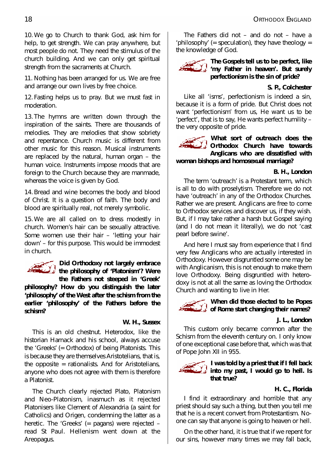10. We go to Church to thank God, ask him for help, to get strength. We can pray anywhere, but most people do not. They need the stimulus of the church building. And we can only get spiritual strength from the sacraments at Church.

11. Nothing has been arranged for us. We are free and arrange our own lives by free choice.

12. Fasting helps us to pray. But we must fast in moderation.

13. The hymns are written down through the inspiration of the saints. There are thousands of melodies. They are melodies that show sobriety and repentance. Church music is different from other music for this reason. Musical instruments are replaced by the natural, human organ  $-$  the human voice. Instruments impose moods that are foreign to the Church because they are manmade, whereas the voice is given by God.

14. Bread and wine becomes the body and blood of Christ. It is a question of faith. The body and blood are spiritually real, not merely symbolic.

15. We are all called on to dress modestly in church. Women's hair can be sexually attractive. Some women use their hair - 'letting your hair down' - for this purpose. This would be immodest in church.



**Did Orthodoxy not largely embrace the philosophy of 'Platonism'? Were the Fathers not steeped in 'Greek '**

**philosophy?** How do you distinguish the later 'philosophy' of the West after the schism from the **earl ier 'phi losophy' of the Father s before th e schism?** 

#### *W. H., Sussex*

This is an old chestnut. Heterodox, like the historian Harnack and his school, always accuse the 'Greeks' (= Orthodox) of being Platonists. This is because they are themselves Aristotelians, that is, the opposite = rationalists. And for Aristotelians, anyone who does not agree with them is therefore a Platonist .

The Church clearly rejected Plato, Platonism and Neo-Platonism, inasmuch as it rejected Platonisers like Clement of Alexandria (a saint for Catholics) and Origen, condemning the latter as a heretic. The 'Greeks' (= pagans) were rejected read St Paul. Hellenism went down at the **Areopagus** 

The Fathers did not – and do not – have a 'philosophy' (= speculation), they have theology = the knowledge of God.



**The Gospelstel l usto be perfect, l ik e 'my Father in heaven' . But surel y perfectionism isthe sin of pride ?**

#### *S. P. , Colcheste r*

Like all 'isms', perfectionism is indeed a sin. because it is a form of pride. But Christ does not want 'perfectionism' from us, He want us to be 'perfect', that is to say, He wants perfect humility the very opposite of pride.



**What** sort of outreach does the *I*, **O** orthodox Church have towards Anglicans who are dissatisfied with

**woman bishopsand homosexual marriage ?**

#### *B. H. , Lon do n*

The term 'outreach' is a Protestant term, which is all to do with proselytism. Therefore we do not have 'outreach' in any of the Orthodox Churches. Rather we are present. Anglicans are free to come to Orthodox services and discover us, if they wish. But, if I may take rather a harsh but Gospel saying (and I do not mean it literally), we do not 'cast pearl before swine' .

And here I must say from experience that I find very few Anglicans who are actually interested in Orthodoxy. However disgruntled some one may be with Anglicanism, this is not enough to make them love Orthodoxy. Being disgruntled with heterodoxy is not at all the same as loving the Orthodox Church and wanting to live in Her.



**When did those elected to be Pope s b** of Rome start changing their names?

#### *J. L. , Lon do n*

This custom only became common after the Schism from the eleventh century on. I only know of one exceptional case before that which was that of Pope John XII in 955.



**I wastold byapriest that ifI fel l bac k** into my past, I would go to hell. Is **that true ?**

#### *H. C., Florida*

I find it extraordinary and horrible that any priest should say such a thing, but then you tell me that he is a recent convert from Protestantism. Noone can say that anyone is going to heaven or hell.

On the other hand, it is true that if we repent for our sins, however many times we may fall back,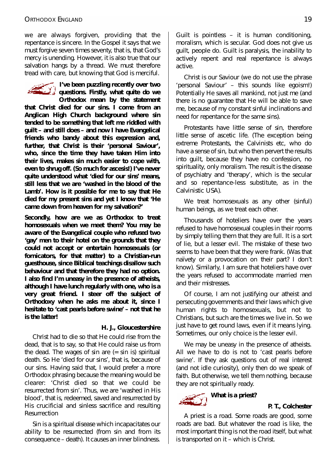we are always forgiven, providing that the repentance is sincere. In the Gospel it says that we must forgive seven times seventy, that is, that God's mercy is unending. However, it is also true that our salvation hangs by a thread. We must therefore tread with care, but knowing that God is merciful.



**I** I've been puzzling recently over two **questions. Fi rstly, what quite do w e Orthodox mean by the statement** 

**that Christ died for our sins. I come from a n Angl ican High Ch urch back groun d where si n tended** to be something that left me riddled with **gui lt – and sti l l does– and nowI have Evangel ica l** friends who bandy about this expression and, **further, that Christ is thei r 'per so nal Saviour' ,** who, since the time they have taken Him into **thei r l ives, makes sin much easier to cope with , even** to shrug off. (So much for ascesis!) I've never **quite understo od what 'died for o ur sins' means , sti l l less that we are 'washed in the blood of th e Lamb'. Howis it possible for me to say that H e died** for my present sins and yet I know that 'He **came down fromheaven for my salvation? '**

Secondly, how are we as Orthodox to treat **homosexuals when we meet them? Y ou may b e aware of the Evangel ical couple who refused tw o 'gay' men to thei r hotel on the grounds that the y** could not accept or entertain homosexuals (or **fornicators**, for that matter) to a Christian-run **guesthouse, since Bibl ical teachingsdisal lowsuc h behaviour and that therefore they had no option . I also find I 'm uneasy in the presence of atheists ,** although I have lunch regularly with one, who is a **very great friend.** I **steer off the subject of Orth odoxy when he asks me about it, since I hesitate to 'cast pearlsbefore swine' – not that h e is the latter!** 

#### *H. J. , Gloucestershi r e*

Christ had to die so that He could rise from the dead, that is to say, so that He could raise us from the dead. The wages of  $sin$  are  $(= sin is)$  spiritual death. So He 'died for our sins', that is, because of our sins. Having said that, I would prefer a more Orthodox phrasing because the meaning would be clearer: 'Christ died so that we could be resurrected from sin'. Thus, we are 'washed in His blood', that is, redeemed, saved and resurrected by His crucificial and sinless sacrifice and resulting Resurrection

Sin is a spiritual disease which incapacitates our ability to be resurrected (from sin and from its consequence - death). It causes an inner blindness.

Guilt is pointless  $-$  it is human conditioning, moralism, which is secular. God does not give us quilt, people do. Guilt is paralysis, the inability to actively repent and real repentance is always active.

Christ is our Saviour (we do not use the phrase 'personal Saviour' - this sounds like egoism!) Potentially He saves all mankind, not just me (and there is no quarantee that He will be able to save me, because of my constant sinful inclinations and need for repentance for the same sins).

Protestants have little sense of sin, therefore little sense of ascetic life. (The exception being extreme Protestants, the Calvinists etc, who do have a sense of sin, but who then pervert the results into quilt because they have no confession, no spirituality, only moralism. The result is the disease of psychiatry and 'therapy', which is the secular and so repentance-less substitute, as in the Calvinistic USA).

We treat homosexuals as any other (sinful) human beings, as we treat each other.

Thousands of hoteliers have over the years refused to have homosexual couples in their rooms by simply telling them that they are full. It is a sort of lie, but a lesser evil. The mistake of these two seems to have been that they were frank. (Was that naïvety or a provocation on their part? I don't know). Similarly, I am sure that hoteliers have over the years refused to accommodate married men and their mistresses.

Of course, I am not justifying our atheist and persecuting governments and their laws which give human rights to homosexuals, but not to Christians, but such are the times we live in. So we just have to get round laws, even if it means lying. Sometimes, our only choice is the lesser evil.

We may be uneasy in the presence of atheists. All we have to do is not to 'cast pearls before swine'. If they ask questions out of real interest (and not idle curiosity), only then do we speak of faith. But otherwise, we tell them nothing, because they are not spiritually ready.



*P. T., Colchester* 

A priest is a road. Some roads are good, some roads are bad. But whatever the road is like, the most important thing is not the road itself, but what is transported on it - which is Christ.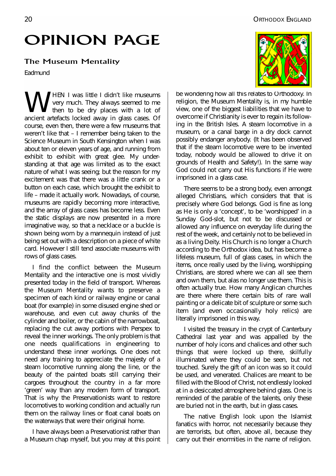# OPINION PAGE

#### The Museum Mentality

*Eadmund* 

WHEN I was little I didn't like museums<br>very much. They always seemed to me<br>ancient artefacts locked away in glass cases. Of very much. They always seemed to me then to be dry places with a lot of ancient artefacts locked away in glass cases. Of course, even then, there were a few museums that weren't like that  $-1$  remember being taken to the Science Museum in South Kensington when I was about ten or eleven years of age, and running from exhibit to exhibit with great glee. My understanding at that age was limited as to the exact nature of what I was seeing; but the reason for my excitement was that there was a little crank or a button on each case, which brought the exhibit to life – made it actually work. Nowadays, of course, museums are rapidly becoming more interactive, and the array of glass cases has become less. Even the static displays are now presented in a more imaginative way, so that a necklace or a buckle is shown being worn by a mannequin instead of just being set out with a description on a piece of white card. However I still tend associate museums with rows of glass cases.

I find the conflict between the Museum Mentality and the interactive one is most vividly presented today in the field of transport. Whereas the Museum Mentality wants to preserve a specimen of each kind or railway engine or canal boat (for example) in some disused engine shed or warehouse, and even cut away chunks of the cylinder and boiler, or the cabin of the narrowboat, replacing the cut away portions with Perspex to reveal the inner workings. The only problem is that one needs qualifications in engineering to understand these inner workings. One does not need any training to appreciate the majesty of a steam locomotive running along the line, or the beauty of the painted boats still carrying their cargoes throughout the country in a far more 'green' way than any modern form of transport. That is why the Preservationists want to restore locomotives to working condition and actually run them on the railway lines or float canal boats on the waterways that were their original home.

I have always been a Preservationist rather than a Museum chap myself, but you may at this point



be wondering how all this relates to Orthodoxy. In religion, the Museum Mentality is, in my humble view, one of the biggest liabilities that we have to overcome if Christianity is ever to regain its following in the British Isles. A steam locomotive in a museum, or a canal barge in a dry dock cannot possibly endanger anybody. (It has been observed that if the steam locomotive were to be invented today, nobody would be allowed to drive it on grounds of Health and Safety!). In the same way God could not carry out His functions if He were imprisoned in a glass case.

There seems to be a strong body, even amongst alleged Christians, which considers that that is precisely where God belongs. God is fine as long as He is only a 'concept', to be 'worshipped' in a Sunday God-slot, but not to be discussed or allowed any influence on everyday life during the rest of the week, and certainly not to be believed in as a living Deity. His Church is no longer a Church according to the Orthodox idea, but has become a lifeless museum, full of glass cases, in which the items, once really used by the living, worshipping Christians, are stored where we can all see them and own them, but alas no longer use them. This is often actually true. How many Anglican churches are there where there certain bits of rare wall painting or a delicate bit of sculpture or some such item (and even occasionally holy relics) are literally imprisoned in this way.

I visited the treasury in the crypt of Canterbury Cathedral last year and was appalled by the number of holy icons and chalices and other such things that were locked up there, skilfully illuminated where they could be seen, but not touched. Surely the gift of an icon was so it could be used, and venerated. Chalices are meant to be filled with the Blood of Christ, not endlessly looked at in a desiccated atmosphere behind glass. One is reminded of the parable of the talents, only these are buried not in the earth, but in glass cases.

The native English look upon the Islamist fanatics with horror, not necessarily because they are terrorists, but often, above all, because they carry out their enormities in the name of religion.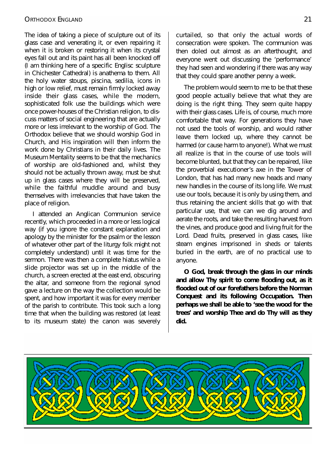The idea of taking a piece of sculpture out of its glass case and venerating it, or even repairing it when it is broken or restoring it when its crystal eyes fall out and its paint has all been knocked off  $\theta$  am thinking here of a specific Englisc sculpture in Chichester Cathedral) is anathema to them. All the holy water stoups, *piscina*, sedilia, icons in high or low relief, must remain firmly locked away inside their glass cases, while the modern, sophisticated folk use the buildings which were once power-houses of the Christian religion, to discuss matters of social engineering that are actually more or less irrelevant to the worship of God. The Orthodox believe that we should worship God in Church, and His inspiration will then inform the work done by Christians in their daily lives. The Museum Mentality seems to be that the mechanics of worship are old-fashioned and, whilst they should not be actually thrown away, must be shut up in glass cases where they will be preserved, while the faithful muddle around and busy themselves with irrelevancies that have taken the place of religion.

I attended an Anglican Communion service recently, which proceeded in a more or less logical way (if you ignore the constant explanation and apology by the minister for the psalm or the lesson of whatever other part of the liturgy folk might not completely understand) until it was time for the sermon. There was then a complete hiatus while a slide projector was set up in the middle of the church, a screen erected at the east end, obscuring the altar, and someone from the regional synod gave a lecture on the way the collection would be spent, and how important it was for every member of the parish to contribute. This took such a long time that when the building was restored (at least to its museum state) the canon was severely

curtailed, so that only the actual words of consecration were spoken. The communion was then doled out almost as an afterthought, and everyone went out discussing the 'performance' they had seen and wondering if there was any way that they could spare another penny a week.

The problem would seem to me to be that these good people actually believe that what they are doing is the right thing. They seem quite happy with their glass cases. Life is, of course, much more comfortable that way. For generations they have not used the tools of worship, and would rather leave them locked up, where they cannot be harmed (or cause harm to anyone!). What we must all realize is that in the course of use tools will become blunted, *but that they can be repaired*, like the proverbial executioner's axe in the Tower of London, that has had many new heads and many new handles in the course of its long life. We must use our tools, because it is only by using them, and thus retaining the ancient skills that go with that particular use, that we can we dig around and aerate the roots, and take the resulting harvest from the vines, and produce good and living fruit for the Lord. Dead fruits, preserved in glass cases, like steam engines imprisoned in sheds or talents buried in the earth, are of no practical use to anyone.

**O God, break through the glass in our mind s and al low Thy spi rit to come flooding o ut, as i t flooded** out of our forefathers before the Norman **Conquest** and its following Occupation. Then **perhapswe shal l be able to 'see the wood for th e trees' and worship Thee and do T hy wi l l as the y did .**

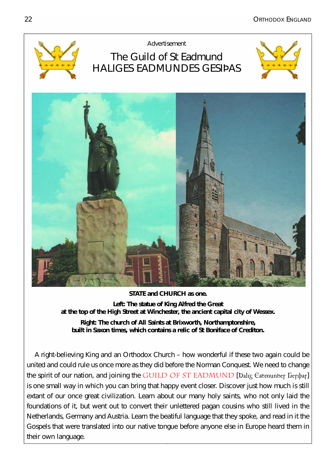

**STATE and CHURCH asone. Left: The statue of King Al fred the Great at the top of the High Street at Winchester, the ancient capital city of Wessex . Right: T he church of Al l Saintsat Brixworth, Northamptonshi re, bui lt in Saxon times, which containsa rel ic of St Boniface of Crediton.**

A right-believing King and an Orthodox Church - how wonderful if these two again could be united and could rule us once more as they did before the Norman Conquest. We need to change the spirit of our nation, and joining the GUILD OF ST EADMUND [Dalig Eabmunder Geribar] is one small way in which you can bring that happy event closer. Discover just how much is still extant of our once great civilization. Learn about our many holy saints, who not only laid the foundations of it, but went out to convert their unlettered pagan cousins who still lived in the Netherlands, Germany and Austria. Learn the beatiful language that they spoke, and read in it the Gospels that were translated into *our* native tongue before anyone else in Europe heard them in their own language.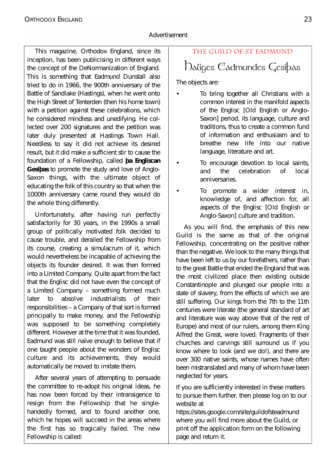#### **Advertisement**

This magazine, Orthodox England, since its inception, has been publicising in different ways the concept of the DeNormanization of England. This is something that Eadmund Dunstall also tried to do in 1966, the 900th anniversary of the Battle of Sandlake (Hastings), when he went onto the High Street of Tenterden (then his home town) with a petition against these celebrations, which he considered mindless and unedifying. He collected over 200 signatures and the petition was later duly presented at Hastings Town Hall. Needless to say it did not achieve its desired result but it did make a sufficient stir to cause the foundation of a Fellowship, called ba Engliscan Gesipas to promote the study and love of Anglo-Saxon things, with the ultimate object of educating the folk of this country so that when the 1000th anniversary came round they would do the whole thing differently.

Unfortunately, after having run perfectly satisfactorily for 30 years, in the 1990s a small group of politically motivated folk decided to cause trouble, and derailed the Fellowship from its course, creating a simulacrum of it, which would nevertheless be incapable of achieving the objects its founder desired. It was then formed into a Limited Company. Quite apart from the fact that the Englisc did not have even the concept of a Limited Company - something formed much later to absolve industrialists of their responsibilities - a Company of that sort is formed principally to make money, and the Fellowship was supposed to be something completely different However at the time that it was founded, Eadmund was still naïve enough to believe that if one taught people about the wonders of Englisc culture and its achievements, they would automatically be moved to imitate them.

After several years of attempting to persuade the committee to re-adopt his original ideas, he has now been forced by their intransigence to resign from the Fellowship that he singlehandedly formed, and to found another one. which he hopes will succeed in the areas where the first has so tragically failed. The new Fellowship is called:

### THE GUILD OF ST EADMUND

# Haliges Eadmundes Gesiþas

The objects are:

- To bring together all Christians with a common interest in the manifold aspects of the Englisc [Old English or Anglo-Saxon] period, its language, culture and traditions, thus to create a common fund of information and enthusiasm and to breathe new life into our native language, literature and art.
- To encourage devotion to local saints, and the celebration of local anniversaries .
- To promote a wider interest in, knowledge of, and affection for, all aspects of the Englisc [Old English or Anglo-Saxon] culture and tradition.

As you will find, the emphasis of this new Guild is the same as that of the original Fellowship, concentrating on the positive rather than the negative. We look to the many things that have been left to us by our forefathers, rather than to the great Battle that ended the England that was the most civilized place then existing outside Constantinople and plunged our people into a state of slavery, from the effects of which we are still suffering. Our kings from the 7th to the 11th centuries were literate (the general standard of art and literature was way above that of the rest of Europe) and most of our rulers, among them King Alfred the Great, were loved. Fragments of their churches and carvings still surround us if you know where to look (and we do!), and there are over 300 native saints, whose names have often been mistranslated and many of whom have been neglected for years.

If you are sufficiently interested in these matters to pursue them further, then please log on to our websi te at

https://sites.google.com/site/guildofsteadmund where you will find more about the Guild, or print off the application form on the following page and return it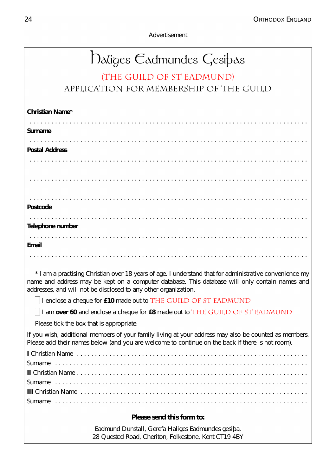Advertisement

# Daliges Cadmundes Gesipas

# (THE GUILD OF ST EADMUND) APPLICATION FOR MEMBERSHIP OF THE GUILD

| Christian Name*                                                                                                                                                                                                                                                              |
|------------------------------------------------------------------------------------------------------------------------------------------------------------------------------------------------------------------------------------------------------------------------------|
| Surname                                                                                                                                                                                                                                                                      |
| Postal Address                                                                                                                                                                                                                                                               |
|                                                                                                                                                                                                                                                                              |
|                                                                                                                                                                                                                                                                              |
| Postcode                                                                                                                                                                                                                                                                     |
| Telephone number                                                                                                                                                                                                                                                             |
| Email                                                                                                                                                                                                                                                                        |
|                                                                                                                                                                                                                                                                              |
| * I am a practising Christian over 18 years of age. I understand that for administrative convenience my<br>name and address may be kept on a computer database. This database will only contain names and<br>addresses, and will not be disclosed to any other organization. |
| I enclose a cheque for £10 made out to THE GUILD OF ST EADMUND                                                                                                                                                                                                               |
| I am over 60 and enclose a cheque for £8 made out to THE GUILD OF ST EADMUND                                                                                                                                                                                                 |
| Please tick the box that is appropriate.                                                                                                                                                                                                                                     |
| If you wish, additional members of your family living at your address may also be counted as members.<br>Please add their names below (and you are welcome to continue on the back if there is not room).                                                                    |
|                                                                                                                                                                                                                                                                              |
| Sumame                                                                                                                                                                                                                                                                       |
|                                                                                                                                                                                                                                                                              |
|                                                                                                                                                                                                                                                                              |
|                                                                                                                                                                                                                                                                              |
| Surname                                                                                                                                                                                                                                                                      |
| Please send this form to:                                                                                                                                                                                                                                                    |
| Eadmund Dunstall, Gerefa Haliges Eadmundes gesiba,                                                                                                                                                                                                                           |
| 28 Quested Road, Cheriton, Folkestone, Kent CT19 4BY                                                                                                                                                                                                                         |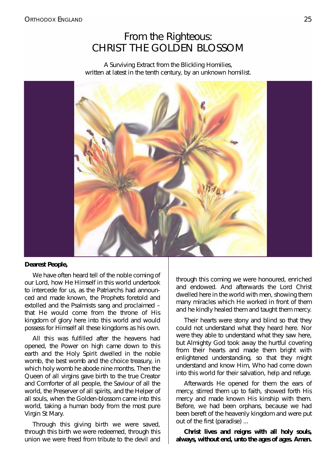# From the Righteous: CHRIST THE GOLDEN BLOSSOM

A Surviving Extract from the Blickling Homilies, written at latest in the tenth century, by an unknown homilist.



**Dearest People**,

We have often heard tell of the noble coming of our Lord, how He Himself in this world undertook to intercede for us, as the Patriarchs had announced and made known, the Prophets foretold and extolled and the Psalmists sang and proclaimed that He would come from the throne of His kingdom of glory here into this world and would possess for Himself all these kingdoms as his own.

All this was ful filled after the heavens had opened, the Power on high came down to this earth and the Holy Spirit dwelled in the noble womb, the best womb and the choice treasury, in which holy womb he abode nine months. Then the Queen of all virgins gave birth to the true Creator and Comforter of all people, the Saviour of all the world, the Preserver of all spirits, and the Helper of all souls, when the Golden-blossom came into this world, taking a human body from the most pure Virgin St Mary.

Through this giving birth we were saved, through this birth we were redeemed, through this union we were freed from tribute to the devil and

through this coming we were honoured, enriched and endowed. And afterwards the Lord Christ dwelled here in the world with men, showing them many miracles which He worked in front of them and he kindly healed them and taught them mercy.

Their hearts were stony and blind so that they could not understand what they heard here. Nor were they able to understand what they saw here, but Almighty God took away the hurtful covering from their hearts and made them bright with enlightened understanding, so that they might understand and know Him, Who had come down into this world for their salvation, help and refuge.

Afterwards He opened for them the ears of mercy, stirred them up to faith, showed forth His mercy and made known His kinship with them. Before, we had been orphans, because we had been bereft of the heavenly kingdom and were put out of the first (paradise)...

**Christ l ives and reigns with al l holy souls ,** always, without end, unto the ages of ages. Amen.